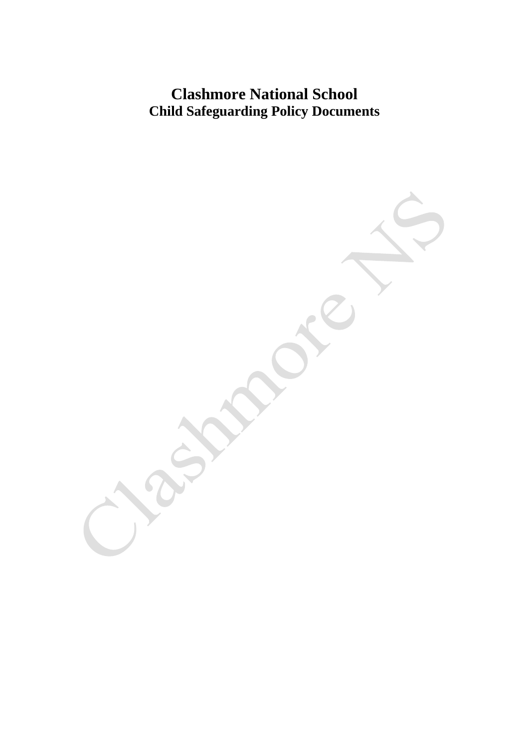## **Clashmore National School Child Safeguarding Policy Documents**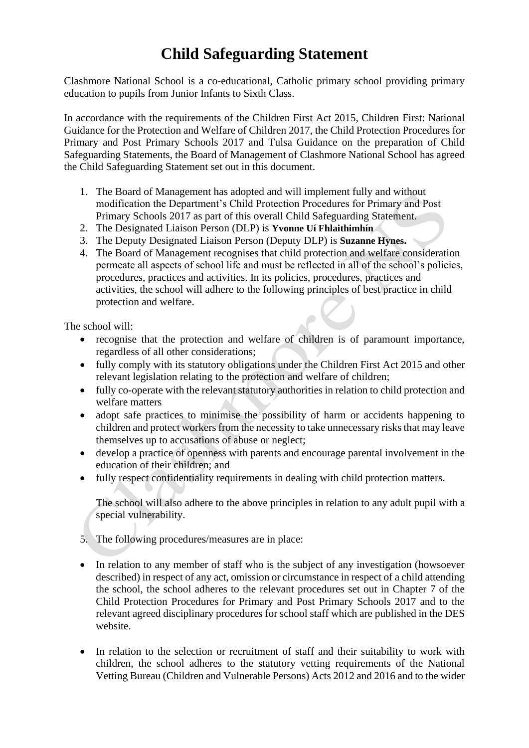# **Child Safeguarding Statement**

Clashmore National School is a co-educational, Catholic primary school providing primary education to pupils from Junior Infants to Sixth Class.

In accordance with the requirements of the Children First Act 2015, Children First: National Guidance for the Protection and Welfare of Children 2017, the Child Protection Procedures for Primary and Post Primary Schools 2017 and Tulsa Guidance on the preparation of Child Safeguarding Statements, the Board of Management of Clashmore National School has agreed the Child Safeguarding Statement set out in this document.

- 1. The Board of Management has adopted and will implement fully and without modification the Department's Child Protection Procedures for Primary and Post Primary Schools 2017 as part of this overall Child Safeguarding Statement.
- 2. The Designated Liaison Person (DLP) is **Yvonne Uí Fhlaithimhín**
- 3. The Deputy Designated Liaison Person (Deputy DLP) is **Suzanne Hynes.**
- 4. The Board of Management recognises that child protection and welfare consideration permeate all aspects of school life and must be reflected in all of the school's policies, procedures, practices and activities. In its policies, procedures, practices and activities, the school will adhere to the following principles of best practice in child protection and welfare.

The school will:

- recognise that the protection and welfare of children is of paramount importance, regardless of all other considerations;
- fully comply with its statutory obligations under the Children First Act 2015 and other relevant legislation relating to the protection and welfare of children;
- fully co-operate with the relevant statutory authorities in relation to child protection and welfare matters
- adopt safe practices to minimise the possibility of harm or accidents happening to children and protect workers from the necessity to take unnecessary risks that may leave themselves up to accusations of abuse or neglect;
- develop a practice of openness with parents and encourage parental involvement in the education of their children; and
- fully respect confidentiality requirements in dealing with child protection matters.

The school will also adhere to the above principles in relation to any adult pupil with a special vulnerability.

- 5. The following procedures/measures are in place:
- In relation to any member of staff who is the subject of any investigation (howsoever described) in respect of any act, omission or circumstance in respect of a child attending the school, the school adheres to the relevant procedures set out in Chapter 7 of the Child Protection Procedures for Primary and Post Primary Schools 2017 and to the relevant agreed disciplinary procedures for school staff which are published in the DES website.
- In relation to the selection or recruitment of staff and their suitability to work with children, the school adheres to the statutory vetting requirements of the National Vetting Bureau (Children and Vulnerable Persons) Acts 2012 and 2016 and to the wider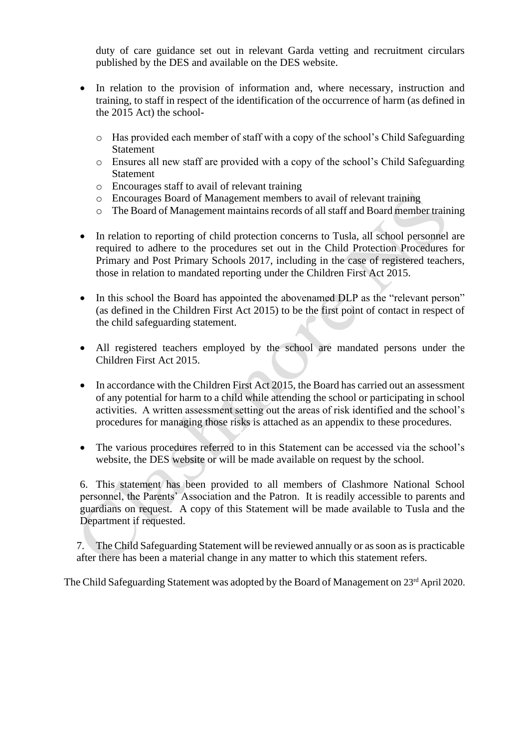duty of care guidance set out in relevant Garda vetting and recruitment circulars published by the DES and available on the DES website.

- In relation to the provision of information and, where necessary, instruction and training, to staff in respect of the identification of the occurrence of harm (as defined in the 2015 Act) the school
	- o Has provided each member of staff with a copy of the school's Child Safeguarding Statement
	- o Ensures all new staff are provided with a copy of the school's Child Safeguarding Statement
	- o Encourages staff to avail of relevant training
	- o Encourages Board of Management members to avail of relevant training
	- o The Board of Management maintains records of all staff and Board member training
- In relation to reporting of child protection concerns to Tusla, all school personnel are required to adhere to the procedures set out in the Child Protection Procedures for Primary and Post Primary Schools 2017, including in the case of registered teachers, those in relation to mandated reporting under the Children First Act 2015.
- In this school the Board has appointed the abovenamed DLP as the "relevant person" (as defined in the Children First Act 2015) to be the first point of contact in respect of the child safeguarding statement.
- All registered teachers employed by the school are mandated persons under the Children First Act 2015.
- In accordance with the Children First Act 2015, the Board has carried out an assessment of any potential for harm to a child while attending the school or participating in school activities. A written assessment setting out the areas of risk identified and the school's procedures for managing those risks is attached as an appendix to these procedures.
- The various procedures referred to in this Statement can be accessed via the school's website, the DES website or will be made available on request by the school.

6. This statement has been provided to all members of Clashmore National School personnel, the Parents' Association and the Patron. It is readily accessible to parents and guardians on request. A copy of this Statement will be made available to Tusla and the Department if requested.

7. The Child Safeguarding Statement will be reviewed annually or as soon as is practicable after there has been a material change in any matter to which this statement refers.

The Child Safeguarding Statement was adopted by the Board of Management on 23<sup>rd</sup> April 2020.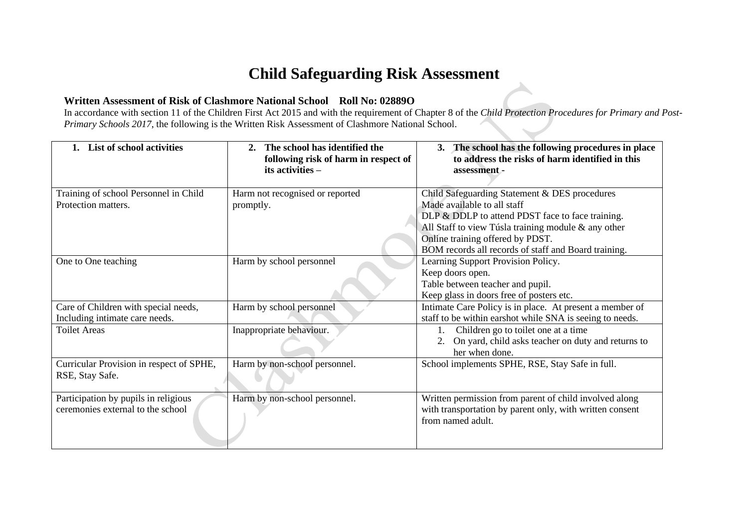## **Child Safeguarding Risk Assessment**

### **Written Assessment of Risk of Clashmore National School Roll No: 02889O**

In accordance with section 11 of the Children First Act 2015 and with the requirement of Chapter 8 of the *Child Protection Procedures for Primary and Post-Primary Schools 2017*, the following is the Written Risk Assessment of Clashmore National School.

| List of school activities                | The school has identified the<br>following risk of harm in respect of<br>its activities - | 3. The school has the following procedures in place<br>to address the risks of harm identified in this<br>assessment - |
|------------------------------------------|-------------------------------------------------------------------------------------------|------------------------------------------------------------------------------------------------------------------------|
|                                          |                                                                                           |                                                                                                                        |
| Training of school Personnel in Child    | Harm not recognised or reported                                                           | Child Safeguarding Statement & DES procedures                                                                          |
| Protection matters.                      | promptly.                                                                                 | Made available to all staff                                                                                            |
|                                          |                                                                                           | DLP & DDLP to attend PDST face to face training.                                                                       |
|                                          |                                                                                           | All Staff to view Túsla training module & any other                                                                    |
|                                          |                                                                                           | Online training offered by PDST.                                                                                       |
|                                          |                                                                                           | BOM records all records of staff and Board training.                                                                   |
| One to One teaching                      | Harm by school personnel                                                                  | Learning Support Provision Policy.                                                                                     |
|                                          |                                                                                           | Keep doors open.                                                                                                       |
|                                          |                                                                                           | Table between teacher and pupil.                                                                                       |
|                                          |                                                                                           | Keep glass in doors free of posters etc.                                                                               |
| Care of Children with special needs,     | Harm by school personnel                                                                  | Intimate Care Policy is in place. At present a member of                                                               |
| Including intimate care needs.           |                                                                                           | staff to be within earshot while SNA is seeing to needs.                                                               |
| <b>Toilet Areas</b>                      | Inappropriate behaviour.                                                                  | Children go to toilet one at a time                                                                                    |
|                                          |                                                                                           | On yard, child asks teacher on duty and returns to                                                                     |
|                                          |                                                                                           | her when done.                                                                                                         |
| Curricular Provision in respect of SPHE, | Harm by non-school personnel.                                                             | School implements SPHE, RSE, Stay Safe in full.                                                                        |
| RSE, Stay Safe.                          |                                                                                           |                                                                                                                        |
|                                          |                                                                                           |                                                                                                                        |
| Participation by pupils in religious     | Harm by non-school personnel.                                                             | Written permission from parent of child involved along                                                                 |
| ceremonies external to the school        |                                                                                           | with transportation by parent only, with written consent                                                               |
|                                          |                                                                                           | from named adult.                                                                                                      |
|                                          |                                                                                           |                                                                                                                        |
|                                          |                                                                                           |                                                                                                                        |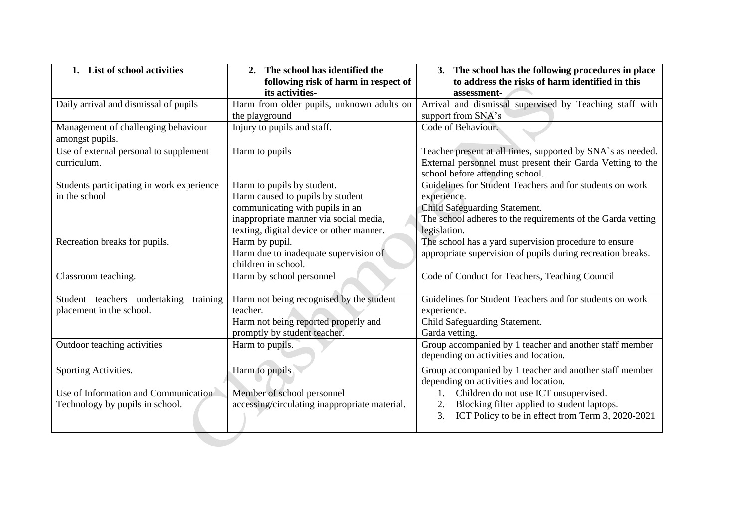| 1. List of school activities                                            | 2. The school has identified the<br>following risk of harm in respect of<br>its activities-                                                                                             | 3. The school has the following procedures in place<br>to address the risks of harm identified in this<br>assessment-                                                                   |  |
|-------------------------------------------------------------------------|-----------------------------------------------------------------------------------------------------------------------------------------------------------------------------------------|-----------------------------------------------------------------------------------------------------------------------------------------------------------------------------------------|--|
| Daily arrival and dismissal of pupils                                   | Harm from older pupils, unknown adults on<br>the playground                                                                                                                             | Arrival and dismissal supervised by Teaching staff with<br>support from SNA's                                                                                                           |  |
| Management of challenging behaviour<br>amongst pupils.                  | Injury to pupils and staff.                                                                                                                                                             | Code of Behaviour.                                                                                                                                                                      |  |
| Use of external personal to supplement<br>curriculum.                   | Harm to pupils                                                                                                                                                                          | Teacher present at all times, supported by SNA`s as needed.<br>External personnel must present their Garda Vetting to the<br>school before attending school.                            |  |
| Students participating in work experience<br>in the school              | Harm to pupils by student.<br>Harm caused to pupils by student<br>communicating with pupils in an<br>inappropriate manner via social media,<br>texting, digital device or other manner. | Guidelines for Student Teachers and for students on work<br>experience.<br>Child Safeguarding Statement.<br>The school adheres to the requirements of the Garda vetting<br>legislation. |  |
| Recreation breaks for pupils.                                           | Harm by pupil.<br>Harm due to inadequate supervision of<br>children in school.                                                                                                          | The school has a yard supervision procedure to ensure<br>appropriate supervision of pupils during recreation breaks.                                                                    |  |
| Classroom teaching.                                                     | Harm by school personnel                                                                                                                                                                | Code of Conduct for Teachers, Teaching Council                                                                                                                                          |  |
| Student teachers undertaking<br>training<br>placement in the school.    | Harm not being recognised by the student<br>teacher.<br>Harm not being reported properly and<br>promptly by student teacher.                                                            | Guidelines for Student Teachers and for students on work<br>experience.<br>Child Safeguarding Statement.<br>Garda vetting.                                                              |  |
| Outdoor teaching activities                                             | Harm to pupils.                                                                                                                                                                         | Group accompanied by 1 teacher and another staff member<br>depending on activities and location.                                                                                        |  |
| Sporting Activities.                                                    | Harm to pupils                                                                                                                                                                          | Group accompanied by 1 teacher and another staff member<br>depending on activities and location.                                                                                        |  |
| Use of Information and Communication<br>Technology by pupils in school. | Member of school personnel<br>accessing/circulating inappropriate material.                                                                                                             | Children do not use ICT unsupervised.<br>Blocking filter applied to student laptops.<br>2.<br>3.<br>ICT Policy to be in effect from Term 3, 2020-2021                                   |  |
|                                                                         |                                                                                                                                                                                         |                                                                                                                                                                                         |  |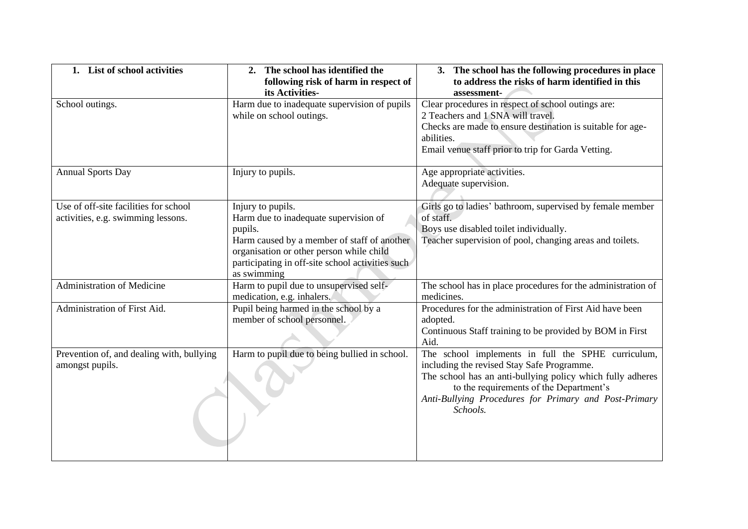| 1. List of school activities              | 2. The school has identified the<br>following risk of harm in respect of | 3. The school has the following procedures in place<br>to address the risks of harm identified in this |
|-------------------------------------------|--------------------------------------------------------------------------|--------------------------------------------------------------------------------------------------------|
|                                           | its Activities-                                                          | assessment-                                                                                            |
| School outings.                           | Harm due to inadequate supervision of pupils                             | Clear procedures in respect of school outings are:                                                     |
|                                           | while on school outings.                                                 | 2 Teachers and 1 SNA will travel.                                                                      |
|                                           |                                                                          | Checks are made to ensure destination is suitable for age-                                             |
|                                           |                                                                          | abilities.                                                                                             |
|                                           |                                                                          | Email venue staff prior to trip for Garda Vetting.                                                     |
| <b>Annual Sports Day</b>                  | Injury to pupils.                                                        | Age appropriate activities.                                                                            |
|                                           |                                                                          | Adequate supervision.                                                                                  |
|                                           |                                                                          |                                                                                                        |
| Use of off-site facilities for school     | Injury to pupils.                                                        | Girls go to ladies' bathroom, supervised by female member                                              |
| activities, e.g. swimming lessons.        | Harm due to inadequate supervision of                                    | of staff.                                                                                              |
|                                           | pupils.                                                                  | Boys use disabled toilet individually.                                                                 |
|                                           | Harm caused by a member of staff of another                              | Teacher supervision of pool, changing areas and toilets.                                               |
|                                           | organisation or other person while child                                 |                                                                                                        |
|                                           | participating in off-site school activities such                         |                                                                                                        |
|                                           | as swimming                                                              |                                                                                                        |
| <b>Administration of Medicine</b>         | Harm to pupil due to unsupervised self-                                  | The school has in place procedures for the administration of                                           |
|                                           | medication, e.g. inhalers.                                               | medicines.                                                                                             |
| Administration of First Aid.              | Pupil being harmed in the school by a                                    | Procedures for the administration of First Aid have been                                               |
|                                           | member of school personnel.                                              | adopted.<br>Continuous Staff training to be provided by BOM in First                                   |
|                                           |                                                                          | Aid.                                                                                                   |
| Prevention of, and dealing with, bullying | Harm to pupil due to being bullied in school.                            | The school implements in full the SPHE curriculum,                                                     |
| amongst pupils.                           |                                                                          | including the revised Stay Safe Programme.                                                             |
|                                           |                                                                          | The school has an anti-bullying policy which fully adheres                                             |
|                                           |                                                                          | to the requirements of the Department's                                                                |
|                                           |                                                                          | Anti-Bullying Procedures for Primary and Post-Primary                                                  |
|                                           |                                                                          | Schools.                                                                                               |
|                                           |                                                                          |                                                                                                        |
|                                           |                                                                          |                                                                                                        |
|                                           |                                                                          |                                                                                                        |
|                                           |                                                                          |                                                                                                        |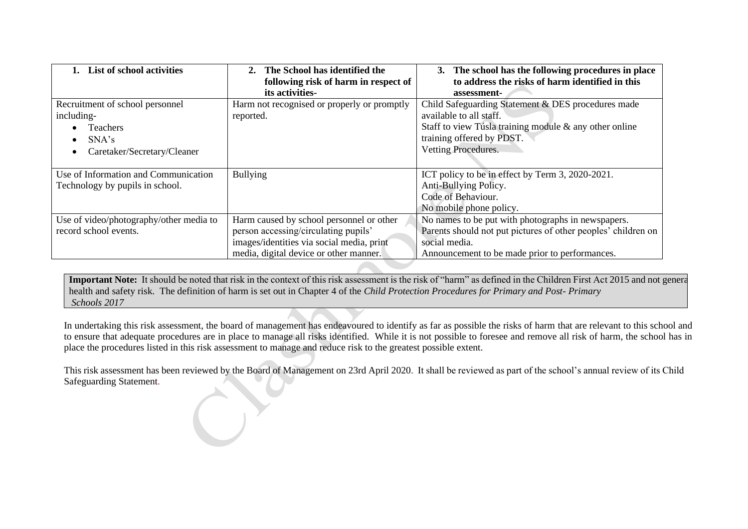| <b>List of school activities</b>                                                                         | The School has identified the<br>2.<br>following risk of harm in respect of<br>its activities-                                                                          | 3. The school has the following procedures in place<br>to address the risks of harm identified in this<br>assessment-                                                                       |
|----------------------------------------------------------------------------------------------------------|-------------------------------------------------------------------------------------------------------------------------------------------------------------------------|---------------------------------------------------------------------------------------------------------------------------------------------------------------------------------------------|
| Recruitment of school personnel<br>including-<br><b>Teachers</b><br>SNA's<br>Caretaker/Secretary/Cleaner | Harm not recognised or properly or promptly<br>reported.                                                                                                                | Child Safeguarding Statement & DES procedures made<br>available to all staff.<br>Staff to view Túsla training module & any other online<br>training offered by PDST.<br>Vetting Procedures. |
| Use of Information and Communication<br>Technology by pupils in school.                                  | <b>Bullying</b>                                                                                                                                                         | ICT policy to be in effect by Term 3, 2020-2021.<br>Anti-Bullying Policy.<br>Code of Behaviour.<br>No mobile phone policy.                                                                  |
| Use of video/photography/other media to<br>record school events.                                         | Harm caused by school personnel or other<br>person accessing/circulating pupils'<br>images/identities via social media, print<br>media, digital device or other manner. | No names to be put with photographs in newspapers.<br>Parents should not put pictures of other peoples' children on<br>social media.<br>Announcement to be made prior to performances.      |

Important Note: It should be noted that risk in the context of this risk assessment is the risk of "harm" as defined in the Children First Act 2015 and not general health and safety risk. The definition of harm is set out in Chapter 4 of the *Child Protection Procedures for Primary and Post- Primary Schools 2017*

In undertaking this risk assessment, the board of management has endeavoured to identify as far as possible the risks of harm that are relevant to this school and to ensure that adequate procedures are in place to manage all risks identified. While it is not possible to foresee and remove all risk of harm, the school has in place the procedures listed in this risk assessment to manage and reduce risk to the greatest possible extent.

This risk assessment has been reviewed by the Board of Management on 23rd April 2020. It shall be reviewed as part of the school's annual review of its Child Safeguarding Statement.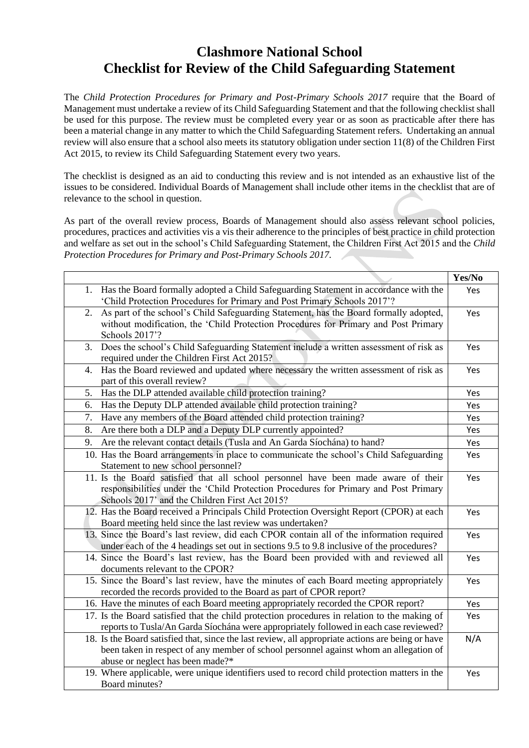### **Clashmore National School Checklist for Review of the Child Safeguarding Statement**

The *Child Protection Procedures for Primary and Post-Primary Schools 2017* require that the Board of Management must undertake a review of its Child Safeguarding Statement and that the following checklist shall be used for this purpose. The review must be completed every year or as soon as practicable after there has been a material change in any matter to which the Child Safeguarding Statement refers. Undertaking an annual review will also ensure that a school also meets its statutory obligation under section 11(8) of the Children First Act 2015, to review its Child Safeguarding Statement every two years.

The checklist is designed as an aid to conducting this review and is not intended as an exhaustive list of the issues to be considered. Individual Boards of Management shall include other items in the checklist that are of relevance to the school in question.

As part of the overall review process, Boards of Management should also assess relevant school policies, procedures, practices and activities vis a vis their adherence to the principles of best practice in child protection and welfare as set out in the school's Child Safeguarding Statement, the Children First Act 2015 and the *Child Protection Procedures for Primary and Post-Primary Schools 2017.*

|                                                                                                   | Yes/No |
|---------------------------------------------------------------------------------------------------|--------|
| 1. Has the Board formally adopted a Child Safeguarding Statement in accordance with the           | Yes    |
| 'Child Protection Procedures for Primary and Post Primary Schools 2017'?                          |        |
| As part of the school's Child Safeguarding Statement, has the Board formally adopted,<br>2.       | Yes    |
| without modification, the 'Child Protection Procedures for Primary and Post Primary               |        |
| Schools 2017'?                                                                                    |        |
| Does the school's Child Safeguarding Statement include a written assessment of risk as<br>3.      | Yes    |
| required under the Children First Act 2015?                                                       |        |
| Has the Board reviewed and updated where necessary the written assessment of risk as<br>4.        | Yes    |
| part of this overall review?                                                                      |        |
| Has the DLP attended available child protection training?<br>5.                                   | Yes    |
| Has the Deputy DLP attended available child protection training?<br>6.                            | Yes    |
| Have any members of the Board attended child protection training?<br>7.                           | Yes    |
| Are there both a DLP and a Deputy DLP currently appointed?<br>8.                                  | Yes    |
| Are the relevant contact details (Tusla and An Garda Síochána) to hand?<br>9.                     | Yes    |
| 10. Has the Board arrangements in place to communicate the school's Child Safeguarding            | Yes    |
| Statement to new school personnel?                                                                |        |
| 11. Is the Board satisfied that all school personnel have been made aware of their                | Yes    |
| responsibilities under the 'Child Protection Procedures for Primary and Post Primary              |        |
| Schools 2017' and the Children First Act 2015?                                                    |        |
| 12. Has the Board received a Principals Child Protection Oversight Report (CPOR) at each          | Yes    |
| Board meeting held since the last review was undertaken?                                          |        |
| 13. Since the Board's last review, did each CPOR contain all of the information required          | Yes    |
| under each of the 4 headings set out in sections 9.5 to 9.8 inclusive of the procedures?          |        |
| 14. Since the Board's last review, has the Board been provided with and reviewed all              | Yes    |
| documents relevant to the CPOR?                                                                   |        |
| 15. Since the Board's last review, have the minutes of each Board meeting appropriately           | Yes    |
| recorded the records provided to the Board as part of CPOR report?                                |        |
| 16. Have the minutes of each Board meeting appropriately recorded the CPOR report?                | Yes    |
| 17. Is the Board satisfied that the child protection procedures in relation to the making of      | Yes    |
| reports to Tusla/An Garda Síochána were appropriately followed in each case reviewed?             |        |
| 18. Is the Board satisfied that, since the last review, all appropriate actions are being or have | N/A    |
| been taken in respect of any member of school personnel against whom an allegation of             |        |
| abuse or neglect has been made?*                                                                  |        |
| 19. Where applicable, were unique identifiers used to record child protection matters in the      | Yes    |
| Board minutes?                                                                                    |        |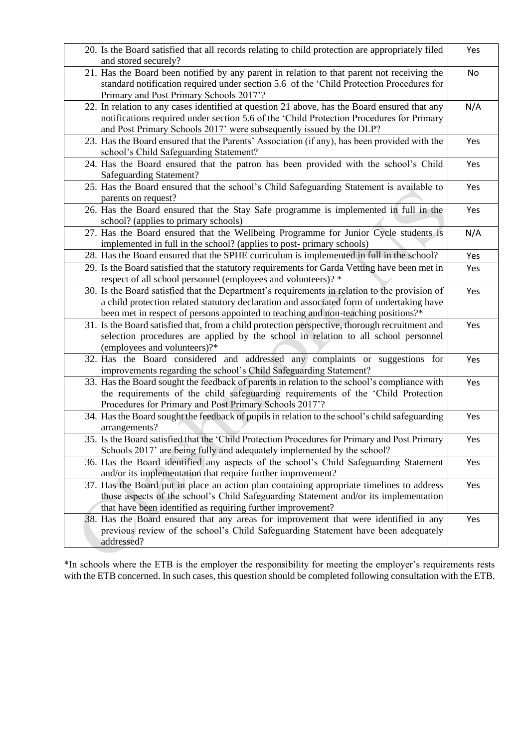| 20. Is the Board satisfied that all records relating to child protection are appropriately filed<br>and stored securely?                                                                                                                                                       | Yes |
|--------------------------------------------------------------------------------------------------------------------------------------------------------------------------------------------------------------------------------------------------------------------------------|-----|
| 21. Has the Board been notified by any parent in relation to that parent not receiving the<br>standard notification required under section 5.6 of the 'Child Protection Procedures for<br>Primary and Post Primary Schools 2017'?                                              | No  |
| 22. In relation to any cases identified at question 21 above, has the Board ensured that any<br>notifications required under section 5.6 of the 'Child Protection Procedures for Primary<br>and Post Primary Schools 2017' were subsequently issued by the DLP?                | N/A |
| 23. Has the Board ensured that the Parents' Association (if any), has been provided with the<br>school's Child Safeguarding Statement?                                                                                                                                         | Yes |
| 24. Has the Board ensured that the patron has been provided with the school's Child<br><b>Safeguarding Statement?</b>                                                                                                                                                          | Yes |
| 25. Has the Board ensured that the school's Child Safeguarding Statement is available to<br>parents on request?                                                                                                                                                                | Yes |
| 26. Has the Board ensured that the Stay Safe programme is implemented in full in the<br>school? (applies to primary schools)                                                                                                                                                   | Yes |
| 27. Has the Board ensured that the Wellbeing Programme for Junior Cycle students is<br>implemented in full in the school? (applies to post-primary schools)                                                                                                                    | N/A |
| 28. Has the Board ensured that the SPHE curriculum is implemented in full in the school?                                                                                                                                                                                       | Yes |
| 29. Is the Board satisfied that the statutory requirements for Garda Vetting have been met in<br>respect of all school personnel (employees and volunteers)? *                                                                                                                 | Yes |
| 30. Is the Board satisfied that the Department's requirements in relation to the provision of<br>a child protection related statutory declaration and associated form of undertaking have<br>been met in respect of persons appointed to teaching and non-teaching positions?* | Yes |
| 31. Is the Board satisfied that, from a child protection perspective, thorough recruitment and<br>selection procedures are applied by the school in relation to all school personnel<br>(employees and volunteers)?*                                                           | Yes |
| 32. Has the Board considered and addressed any complaints or suggestions for<br>improvements regarding the school's Child Safeguarding Statement?                                                                                                                              | Yes |
| 33. Has the Board sought the feedback of parents in relation to the school's compliance with<br>the requirements of the child safeguarding requirements of the 'Child Protection<br>Procedures for Primary and Post Primary Schools 2017'?                                     | Yes |
| 34. Has the Board sought the feedback of pupils in relation to the school's child safeguarding<br>arrangements?                                                                                                                                                                | Yes |
| 35. Is the Board satisfied that the 'Child Protection Procedures for Primary and Post Primary<br>Schools 2017' are being fully and adequately implemented by the school?                                                                                                       | Yes |
| 36. Has the Board identified any aspects of the school's Child Safeguarding Statement<br>and/or its implementation that require further improvement?                                                                                                                           | Yes |
| 37. Has the Board put in place an action plan containing appropriate timelines to address<br>those aspects of the school's Child Safeguarding Statement and/or its implementation<br>that have been identified as requiring further improvement?                               | Yes |
| 38. Has the Board ensured that any areas for improvement that were identified in any<br>previous review of the school's Child Safeguarding Statement have been adequately<br>addressed?                                                                                        | Yes |

\*In schools where the ETB is the employer the responsibility for meeting the employer's requirements rests with the ETB concerned. In such cases, this question should be completed following consultation with the ETB.